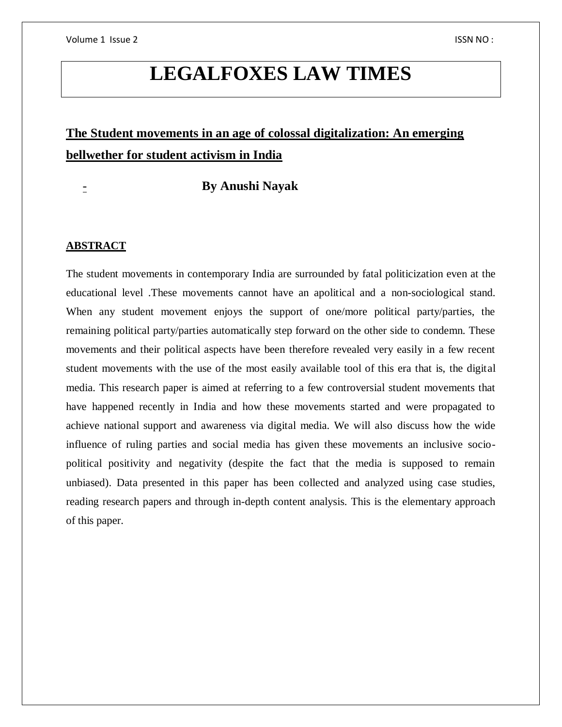# **LEGALFOXES LAW TIMES**

## **The Student movements in an age of colossal digitalization: An emerging bellwether for student activism in India**

### - **By Anushi Nayak**

#### **ABSTRACT**

The student movements in contemporary India are surrounded by fatal politicization even at the educational level .These movements cannot have an apolitical and a non-sociological stand. When any student movement enjoys the support of one/more political party/parties, the remaining political party/parties automatically step forward on the other side to condemn. These movements and their political aspects have been therefore revealed very easily in a few recent student movements with the use of the most easily available tool of this era that is, the digital media. This research paper is aimed at referring to a few controversial student movements that have happened recently in India and how these movements started and were propagated to achieve national support and awareness via digital media. We will also discuss how the wide influence of ruling parties and social media has given these movements an inclusive sociopolitical positivity and negativity (despite the fact that the media is supposed to remain unbiased). Data presented in this paper has been collected and analyzed using case studies, reading research papers and through in-depth content analysis. This is the elementary approach of this paper.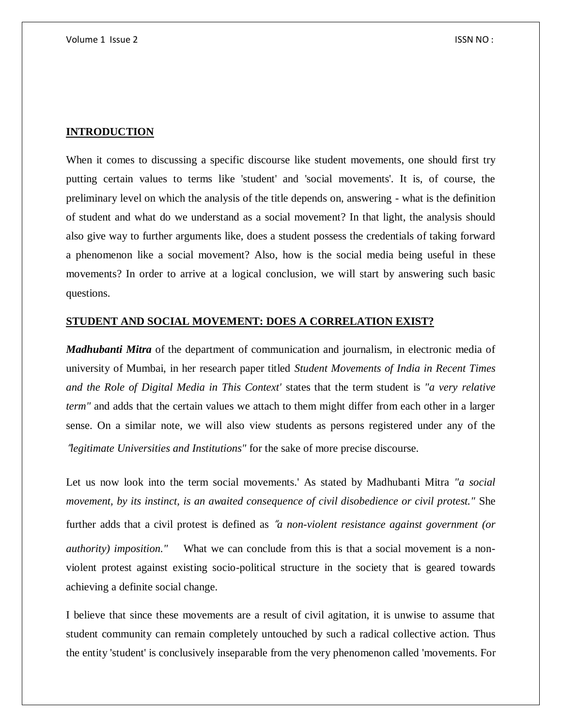#### **INTRODUCTION**

When it comes to discussing a specific discourse like student movements, one should first try putting certain values to terms like 'student' and 'social movements'. It is, of course, the preliminary level on which the analysis of the title depends on, answering - what is the definition of student and what do we understand as a social movement? In that light, the analysis should also give way to further arguments like, does a student possess the credentials of taking forward a phenomenon like a social movement? Also, how is the social media being useful in these movements? In order to arrive at a logical conclusion, we will start by answering such basic questions.

#### **STUDENT AND SOCIAL MOVEMENT: DOES A CORRELATION EXIST?**

*Madhubanti Mitra* of the department of communication and journalism, in electronic media of university of Mumbai, in her research paper titled *Student Movements of India in Recent Times and the Role of Digital Media in This Context'* states that the term student is *"a very relative term"* and adds that the certain values we attach to them might differ from each other in a larger sense. On a similar note, we will also view students as persons registered under any of the "*legitimate Universities and Institutions"* for the sake of more precise discourse.

Let us now look into the term social movements.' As stated by Madhubanti Mitra *"a social movement, by its instinct, is an awaited consequence of civil disobedience or civil protest."* She further adds that a civil protest is defined as "*a non-violent resistance against government (or authority) imposition.*" What we can conclude from this is that a social movement is a nonviolent protest against existing socio-political structure in the society that is geared towards achieving a definite social change.

I believe that since these movements are a result of civil agitation, it is unwise to assume that student community can remain completely untouched by such a radical collective action. Thus the entity 'student' is conclusively inseparable from the very phenomenon called 'movements. For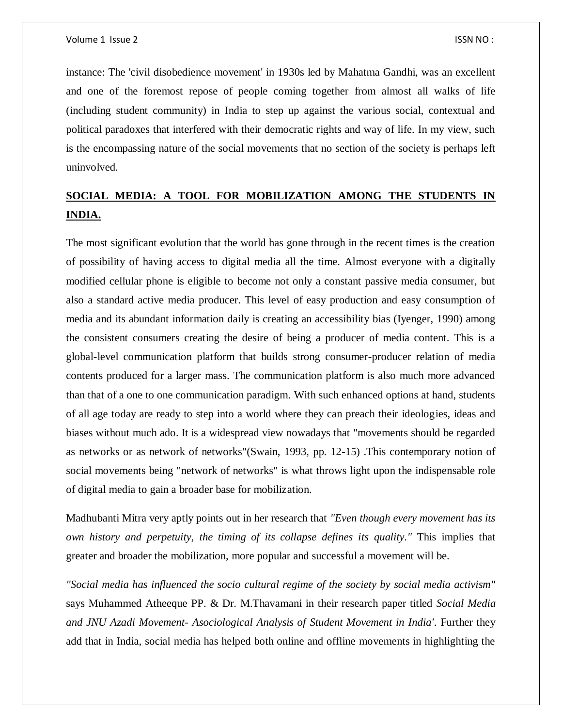instance: The 'civil disobedience movement' in 1930s led by Mahatma Gandhi, was an excellent and one of the foremost repose of people coming together from almost all walks of life (including student community) in India to step up against the various social, contextual and political paradoxes that interfered with their democratic rights and way of life. In my view, such is the encompassing nature of the social movements that no section of the society is perhaps left uninvolved.

## **SOCIAL MEDIA: A TOOL FOR MOBILIZATION AMONG THE STUDENTS IN INDIA.**

The most significant evolution that the world has gone through in the recent times is the creation of possibility of having access to digital media all the time. Almost everyone with a digitally modified cellular phone is eligible to become not only a constant passive media consumer, but also a standard active media producer. This level of easy production and easy consumption of media and its abundant information daily is creating an accessibility bias (Iyenger, 1990) among the consistent consumers creating the desire of being a producer of media content. This is a global-level communication platform that builds strong consumer-producer relation of media contents produced for a larger mass. The communication platform is also much more advanced than that of a one to one communication paradigm. With such enhanced options at hand, students of all age today are ready to step into a world where they can preach their ideologies, ideas and biases without much ado. It is a widespread view nowadays that "movements should be regarded as networks or as network of networks"(Swain, 1993, pp. 12-15) .This contemporary notion of social movements being "network of networks" is what throws light upon the indispensable role of digital media to gain a broader base for mobilization.

Madhubanti Mitra very aptly points out in her research that *"Even though every movement has its own history and perpetuity, the timing of its collapse defines its quality."* This implies that greater and broader the mobilization, more popular and successful a movement will be.

*"Social media has influenced the socio cultural regime of the society by social media activism"* says Muhammed Atheeque PP. & Dr. M.Thavamani in their research paper titled *Social Media and JNU Azadi Movement- Asociological Analysis of Student Movement in India'*. Further they add that in India, social media has helped both online and offline movements in highlighting the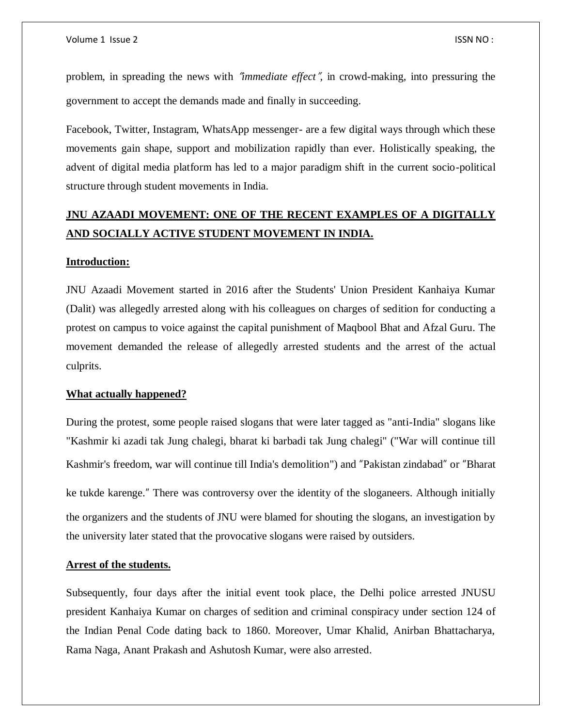problem, in spreading the news with "*immediate effect*"*,* in crowd-making, into pressuring the government to accept the demands made and finally in succeeding.

Facebook, Twitter, Instagram, WhatsApp messenger- are a few digital ways through which these movements gain shape, support and mobilization rapidly than ever. Holistically speaking, the advent of digital media platform has led to a major paradigm shift in the current socio-political structure through student movements in India.

## **JNU AZAADI MOVEMENT: ONE OF THE RECENT EXAMPLES OF A DIGITALLY AND SOCIALLY ACTIVE STUDENT MOVEMENT IN INDIA.**

#### **Introduction:**

JNU Azaadi Movement started in 2016 after the Students' Union President Kanhaiya Kumar (Dalit) was allegedly arrested along with his colleagues on charges of sedition for conducting a protest on campus to voice against the capital punishment of Maqbool Bhat and Afzal Guru. The movement demanded the release of allegedly arrested students and the arrest of the actual culprits.

#### **What actually happened?**

During the protest, some people raised slogans that were later tagged as "anti-India" slogans like "Kashmir ki azadi tak Jung chalegi, bharat ki barbadi tak Jung chalegi" ("War will continue till Kashmir's freedom, war will continue till India's demolition") and "Pakistan zindabad" or "Bharat ke tukde karenge." There was controversy over the identity of the sloganeers. Although initially the organizers and the students of JNU were blamed for shouting the slogans, an investigation by the university later stated that the provocative slogans were raised by outsiders.

#### **Arrest of the students.**

Subsequently, four days after the initial event took place, the Delhi police arrested JNUSU president Kanhaiya Kumar on charges of sedition and criminal conspiracy under section 124 of the Indian Penal Code dating back to 1860. Moreover, Umar Khalid, Anirban Bhattacharya, Rama Naga, Anant Prakash and Ashutosh Kumar, were also arrested.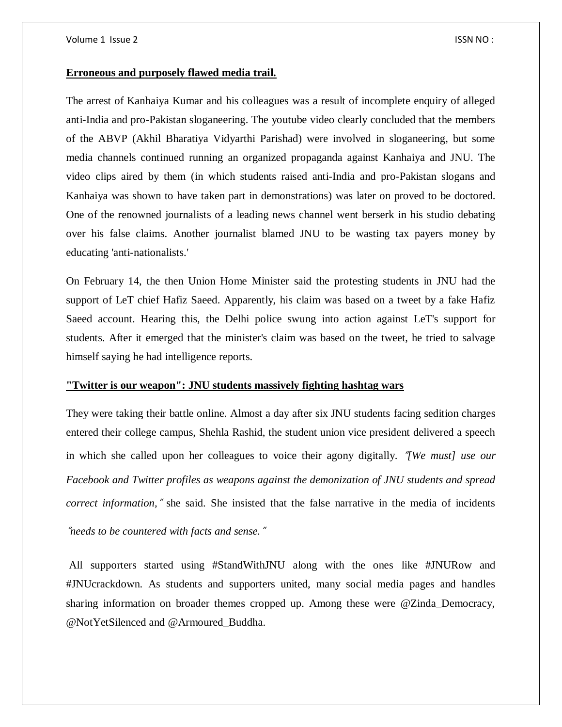#### **Erroneous and purposely flawed media trail.**

The arrest of Kanhaiya Kumar and his colleagues was a result of incomplete enquiry of alleged anti-India and pro-Pakistan sloganeering. The youtube video clearly concluded that the members of the ABVP (Akhil Bharatiya Vidyarthi Parishad) were involved in sloganeering, but some media channels continued running an organized propaganda against Kanhaiya and JNU. The video clips aired by them (in which students raised anti-India and pro-Pakistan slogans and Kanhaiya was shown to have taken part in demonstrations) was later on proved to be doctored. One of the renowned journalists of a leading news channel went berserk in his studio debating over his false claims. Another journalist blamed JNU to be wasting tax payers money by educating 'anti-nationalists.'

On February 14, the then Union Home Minister said the protesting students in JNU had the support of LeT chief Hafiz Saeed. Apparently, his claim was based on a tweet by a fake Hafiz Saeed account. Hearing this, the Delhi police swung into action against LeT's support for students. After it emerged that the minister's claim was based on the tweet, he tried to salvage himself saying he had intelligence reports.

#### **"Twitter is our weapon": JNU students massively fighting hashtag wars**

They were taking their battle online. Almost a day after six JNU students facing sedition charges entered their college campus, Shehla Rashid, the student union vice president delivered a speech in which she called upon her colleagues to voice their agony digitally. "*[We must] use our Facebook and Twitter profiles as weapons against the demonization of JNU students and spread correct information,*" she said. She insisted that the false narrative in the media of incidents

"*needs to be countered with facts and sense.*"

All supporters started using #StandWithJNU along with the ones like #JNURow and #JNUcrackdown. As students and supporters united, many social media pages and handles sharing information on broader themes cropped up. Among these were @Zinda\_Democracy, @NotYetSilenced and @Armoured\_Buddha.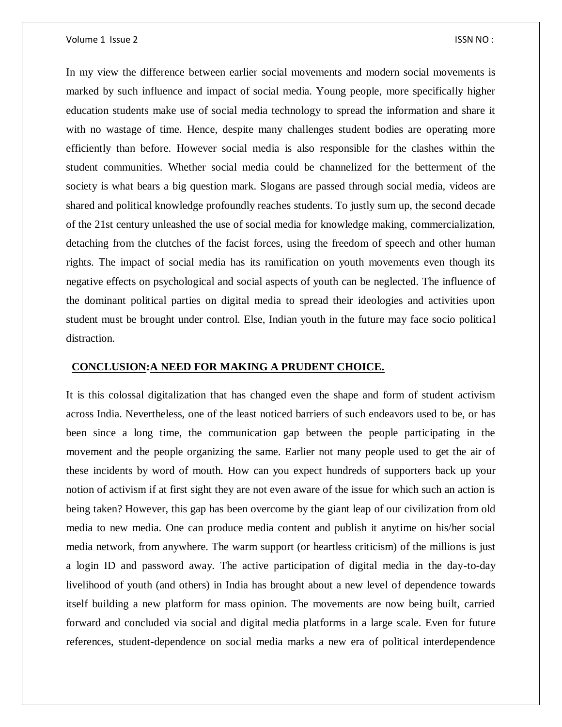In my view the difference between earlier social movements and modern social movements is marked by such influence and impact of social media. Young people, more specifically higher education students make use of social media technology to spread the information and share it with no wastage of time. Hence, despite many challenges student bodies are operating more efficiently than before. However social media is also responsible for the clashes within the student communities. Whether social media could be channelized for the betterment of the society is what bears a big question mark. Slogans are passed through social media, videos are shared and political knowledge profoundly reaches students. To justly sum up, the second decade of the 21st century unleashed the use of social media for knowledge making, commercialization, detaching from the clutches of the facist forces, using the freedom of speech and other human rights. The impact of social media has its ramification on youth movements even though its negative effects on psychological and social aspects of youth can be neglected. The influence of the dominant political parties on digital media to spread their ideologies and activities upon student must be brought under control. Else, Indian youth in the future may face socio political distraction.

#### **CONCLUSION:A NEED FOR MAKING A PRUDENT CHOICE.**

It is this colossal digitalization that has changed even the shape and form of student activism across India. Nevertheless, one of the least noticed barriers of such endeavors used to be, or has been since a long time, the communication gap between the people participating in the movement and the people organizing the same. Earlier not many people used to get the air of these incidents by word of mouth. How can you expect hundreds of supporters back up your notion of activism if at first sight they are not even aware of the issue for which such an action is being taken? However, this gap has been overcome by the giant leap of our civilization from old media to new media. One can produce media content and publish it anytime on his/her social media network, from anywhere. The warm support (or heartless criticism) of the millions is just a login ID and password away. The active participation of digital media in the day-to-day livelihood of youth (and others) in India has brought about a new level of dependence towards itself building a new platform for mass opinion. The movements are now being built, carried forward and concluded via social and digital media platforms in a large scale. Even for future references, student-dependence on social media marks a new era of political interdependence